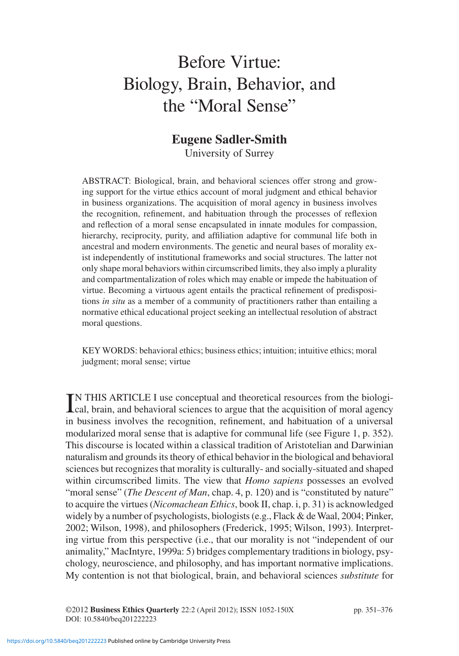# Before Virtue: Biology, Brain, Behavior, and the "Moral Sense"

# **Eugene Sadler-Smith**

University of Surrey

ABSTRACT: Biological, brain, and behavioral sciences offer strong and growing support for the virtue ethics account of moral judgment and ethical behavior in business organizations. The acquisition of moral agency in business involves the recognition, refinement, and habituation through the processes of reflexion and reflection of a moral sense encapsulated in innate modules for compassion, hierarchy, reciprocity, purity, and affiliation adaptive for communal life both in ancestral and modern environments. The genetic and neural bases of morality exist independently of institutional frameworks and social structures. The latter not only shape moral behaviors within circumscribed limits, they also imply a plurality and compartmentalization of roles which may enable or impede the habituation of virtue. Becoming a virtuous agent entails the practical refinement of predispositions *in situ* as a member of a community of practitioners rather than entailing a normative ethical educational project seeking an intellectual resolution of abstract moral questions.

KEY WORDS: behavioral ethics; business ethics; intuition; intuitive ethics; moral judgment; moral sense; virtue

IN THIS ARTICLE I use conceptual and theoretical resources from the biological, brain, and behavioral sciences to argue that the acquisition of moral agency cal, brain, and behavioral sciences to argue that the acquisition of moral agency in business involves the recognition, refinement, and habituation of a universal modularized moral sense that is adaptive for communal life (see Figure 1, p. 352). This discourse is located within a classical tradition of Aristotelian and Darwinian naturalism and grounds its theory of ethical behavior in the biological and behavioral sciences but recognizes that morality is culturally- and socially-situated and shaped within circumscribed limits. The view that *Homo sapiens* possesses an evolved "moral sense" (*The Descent of Man*, chap. 4, p. 120) and is "constituted by nature" to acquire the virtues (*Nicomachean Ethics*, book II, chap. i, p. 31) is acknowledged widely by a number of psychologists, biologists (e.g., Flack & de Waal, 2004; Pinker, 2002; Wilson, 1998), and philosophers (Frederick, 1995; Wilson, 1993). Interpreting virtue from this perspective (i.e., that our morality is not "independent of our animality," MacIntyre, 1999a: 5) bridges complementary traditions in biology, psychology, neuroscience, and philosophy, and has important normative implications. My contention is not that biological, brain, and behavioral sciences *substitute* for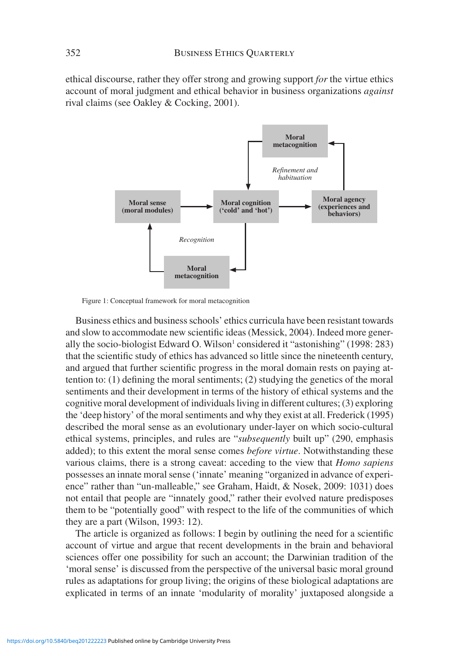ethical discourse, rather they offer strong and growing support *for* the virtue ethics account of moral judgment and ethical behavior in business organizations *against* rival claims (see Oakley & Cocking, 2001).



Figure 1: Conceptual framework for moral metacognition

Business ethics and business schools' ethics curricula have been resistant towards and slow to accommodate new scientific ideas (Messick, 2004). Indeed more generally the socio-biologist Edward O. Wilson<sup>1</sup> considered it "astonishing" (1998: 283) that the scientific study of ethics has advanced so little since the nineteenth century, and argued that further scientific progress in the moral domain rests on paying attention to: (1) defining the moral sentiments; (2) studying the genetics of the moral sentiments and their development in terms of the history of ethical systems and the cognitive moral development of individuals living in different cultures; (3) exploring the 'deep history' of the moral sentiments and why they exist at all. Frederick (1995) described the moral sense as an evolutionary under-layer on which socio-cultural ethical systems, principles, and rules are "*subsequently* built up" (290, emphasis added); to this extent the moral sense comes *before virtue*. Notwithstanding these various claims, there is a strong caveat: acceding to the view that *Homo sapiens* possesses an innate moral sense ('innate' meaning "organized in advance of experience" rather than "un-malleable," see Graham, Haidt, & Nosek, 2009: 1031) does not entail that people are "innately good," rather their evolved nature predisposes them to be "potentially good" with respect to the life of the communities of which they are a part (Wilson, 1993: 12).

The article is organized as follows: I begin by outlining the need for a scientific account of virtue and argue that recent developments in the brain and behavioral sciences offer one possibility for such an account; the Darwinian tradition of the 'moral sense' is discussed from the perspective of the universal basic moral ground rules as adaptations for group living; the origins of these biological adaptations are explicated in terms of an innate 'modularity of morality' juxtaposed alongside a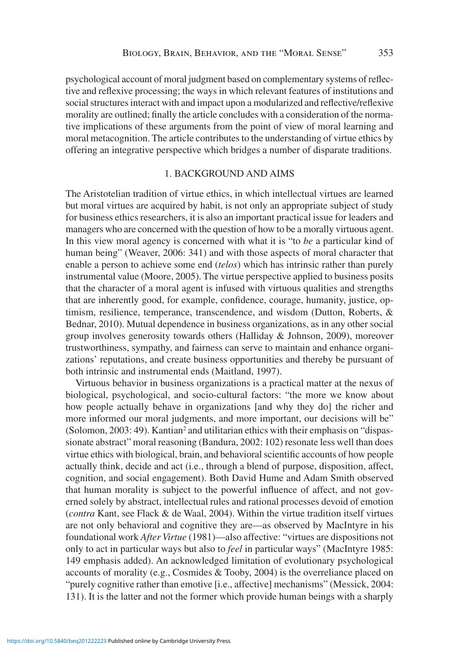psychological account of moral judgment based on complementary systems of reflective and reflexive processing; the ways in which relevant features of institutions and social structures interact with and impact upon a modularized and reflective/reflexive morality are outlined; finally the article concludes with a consideration of the normative implications of these arguments from the point of view of moral learning and moral metacognition. The article contributes to the understanding of virtue ethics by offering an integrative perspective which bridges a number of disparate traditions.

## 1. BACKGROUND AND AIMS

The Aristotelian tradition of virtue ethics, in which intellectual virtues are learned but moral virtues are acquired by habit, is not only an appropriate subject of study for business ethics researchers, it is also an important practical issue for leaders and managers who are concerned with the question of how to be a morally virtuous agent. In this view moral agency is concerned with what it is "to *be* a particular kind of human being" (Weaver, 2006: 341) and with those aspects of moral character that enable a person to achieve some end (*telos*) which has intrinsic rather than purely instrumental value (Moore, 2005). The virtue perspective applied to business posits that the character of a moral agent is infused with virtuous qualities and strengths that are inherently good, for example, confidence, courage, humanity, justice, optimism, resilience, temperance, transcendence, and wisdom (Dutton, Roberts, & Bednar, 2010). Mutual dependence in business organizations, as in any other social group involves generosity towards others (Halliday & Johnson, 2009), moreover trustworthiness, sympathy, and fairness can serve to maintain and enhance organizations' reputations, and create business opportunities and thereby be pursuant of both intrinsic and instrumental ends (Maitland, 1997).

Virtuous behavior in business organizations is a practical matter at the nexus of biological, psychological, and socio-cultural factors: "the more we know about how people actually behave in organizations [and why they do] the richer and more informed our moral judgments, and more important, our decisions will be" (Solomon, 2003: 49). Kantian<sup>2</sup> and utilitarian ethics with their emphasis on "dispassionate abstract" moral reasoning (Bandura, 2002: 102) resonate less well than does virtue ethics with biological, brain, and behavioral scientific accounts of how people actually think, decide and act (i.e., through a blend of purpose, disposition, affect, cognition, and social engagement). Both David Hume and Adam Smith observed that human morality is subject to the powerful influence of affect, and not governed solely by abstract, intellectual rules and rational processes devoid of emotion (*contra* Kant, see Flack & de Waal, 2004). Within the virtue tradition itself virtues are not only behavioral and cognitive they are—as observed by MacIntyre in his foundational work *After Virtue* (1981)—also affective: "virtues are dispositions not only to act in particular ways but also to *feel* in particular ways" (MacIntyre 1985: 149 emphasis added). An acknowledged limitation of evolutionary psychological accounts of morality (e.g., Cosmides & Tooby, 2004) is the overreliance placed on "purely cognitive rather than emotive [i.e., affective] mechanisms" (Messick, 2004: 131). It is the latter and not the former which provide human beings with a sharply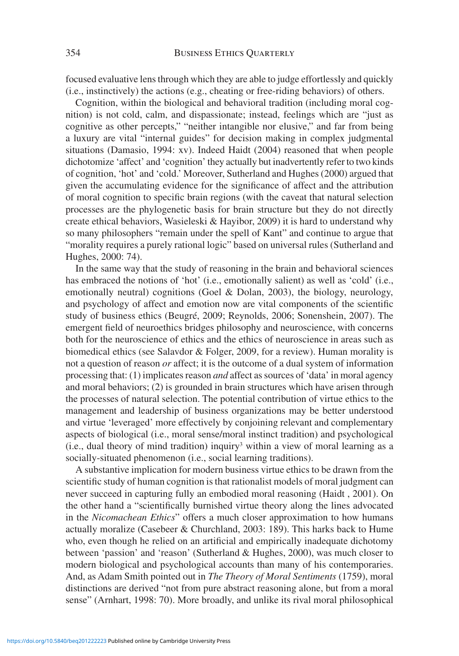focused evaluative lens through which they are able to judge effortlessly and quickly (i.e., instinctively) the actions (e.g., cheating or free-riding behaviors) of others.

Cognition, within the biological and behavioral tradition (including moral cognition) is not cold, calm, and dispassionate; instead, feelings which are "just as cognitive as other percepts," "neither intangible nor elusive," and far from being a luxury are vital "internal guides" for decision making in complex judgmental situations (Damasio, 1994: xv). Indeed Haidt (2004) reasoned that when people dichotomize 'affect' and 'cognition' they actually but inadvertently refer to two kinds of cognition, 'hot' and 'cold.' Moreover, Sutherland and Hughes (2000) argued that given the accumulating evidence for the significance of affect and the attribution of moral cognition to specific brain regions (with the caveat that natural selection processes are the phylogenetic basis for brain structure but they do not directly create ethical behaviors, Wasieleski & Hayibor, 2009) it is hard to understand why so many philosophers "remain under the spell of Kant" and continue to argue that "morality requires a purely rational logic" based on universal rules (Sutherland and Hughes, 2000: 74).

In the same way that the study of reasoning in the brain and behavioral sciences has embraced the notions of 'hot' (i.e., emotionally salient) as well as 'cold' (i.e., emotionally neutral) cognitions (Goel & Dolan, 2003), the biology, neurology, and psychology of affect and emotion now are vital components of the scientific study of business ethics (Beugré, 2009; Reynolds, 2006; Sonenshein, 2007). The emergent field of neuroethics bridges philosophy and neuroscience, with concerns both for the neuroscience of ethics and the ethics of neuroscience in areas such as biomedical ethics (see Salavdor & Folger, 2009, for a review). Human morality is not a question of reason *or* affect; it is the outcome of a dual system of information processing that: (1) implicates reason *and* affect as sources of 'data' in moral agency and moral behaviors; (2) is grounded in brain structures which have arisen through the processes of natural selection. The potential contribution of virtue ethics to the management and leadership of business organizations may be better understood and virtue 'leveraged' more effectively by conjoining relevant and complementary aspects of biological (i.e., moral sense/moral instinct tradition) and psychological  $(i.e., dual theory of mind tradition)$  inquiry<sup>3</sup> within a view of moral learning as a socially-situated phenomenon (i.e., social learning traditions).

A substantive implication for modern business virtue ethics to be drawn from the scientific study of human cognition is that rationalist models of moral judgment can never succeed in capturing fully an embodied moral reasoning (Haidt , 2001). On the other hand a "scientifically burnished virtue theory along the lines advocated in the *Nicomachean Ethics*" offers a much closer approximation to how humans actually moralize (Casebeer & Churchland, 2003: 189). This harks back to Hume who, even though he relied on an artificial and empirically inadequate dichotomy between 'passion' and 'reason' (Sutherland & Hughes, 2000), was much closer to modern biological and psychological accounts than many of his contemporaries. And, as Adam Smith pointed out in *The Theory of Moral Sentiments* (1759), moral distinctions are derived "not from pure abstract reasoning alone, but from a moral sense" (Arnhart, 1998: 70). More broadly, and unlike its rival moral philosophical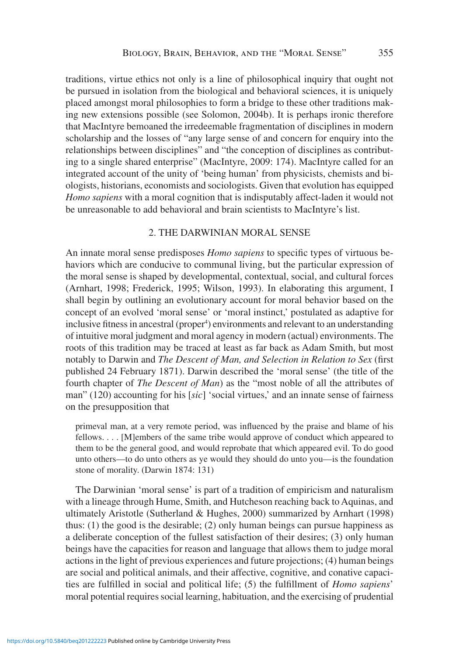traditions, virtue ethics not only is a line of philosophical inquiry that ought not be pursued in isolation from the biological and behavioral sciences, it is uniquely placed amongst moral philosophies to form a bridge to these other traditions making new extensions possible (see Solomon, 2004b). It is perhaps ironic therefore that MacIntyre bemoaned the irredeemable fragmentation of disciplines in modern scholarship and the losses of "any large sense of and concern for enquiry into the relationships between disciplines" and "the conception of disciplines as contributing to a single shared enterprise" (MacIntyre, 2009: 174). MacIntyre called for an integrated account of the unity of 'being human' from physicists, chemists and biologists, historians, economists and sociologists. Given that evolution has equipped *Homo sapiens* with a moral cognition that is indisputably affect-laden it would not be unreasonable to add behavioral and brain scientists to MacIntyre's list.

#### 2. THE DARWINIAN MORAL SENSE

An innate moral sense predisposes *Homo sapiens* to specific types of virtuous behaviors which are conducive to communal living, but the particular expression of the moral sense is shaped by developmental, contextual, social, and cultural forces (Arnhart, 1998; Frederick, 1995; Wilson, 1993). In elaborating this argument, I shall begin by outlining an evolutionary account for moral behavior based on the concept of an evolved 'moral sense' or 'moral instinct,' postulated as adaptive for inclusive fitness in ancestral (proper<sup>4</sup>) environments and relevant to an understanding of intuitive moral judgment and moral agency in modern (actual) environments. The roots of this tradition may be traced at least as far back as Adam Smith, but most notably to Darwin and *The Descent of Man, and Selection in Relation to Sex* (first published 24 February 1871). Darwin described the 'moral sense' (the title of the fourth chapter of *The Descent of Man*) as the "most noble of all the attributes of man" (120) accounting for his [*sic*] 'social virtues,' and an innate sense of fairness on the presupposition that

primeval man, at a very remote period, was influenced by the praise and blame of his fellows. . . . [M]embers of the same tribe would approve of conduct which appeared to them to be the general good, and would reprobate that which appeared evil. To do good unto others—to do unto others as ye would they should do unto you—is the foundation stone of morality. (Darwin 1874: 131)

The Darwinian 'moral sense' is part of a tradition of empiricism and naturalism with a lineage through Hume, Smith, and Hutcheson reaching back to Aquinas, and ultimately Aristotle (Sutherland & Hughes, 2000) summarized by Arnhart (1998) thus: (1) the good is the desirable; (2) only human beings can pursue happiness as a deliberate conception of the fullest satisfaction of their desires; (3) only human beings have the capacities for reason and language that allows them to judge moral actions in the light of previous experiences and future projections; (4) human beings are social and political animals, and their affective, cognitive, and conative capacities are fulfilled in social and political life; (5) the fulfillment of *Homo sapiens*' moral potential requires social learning, habituation, and the exercising of prudential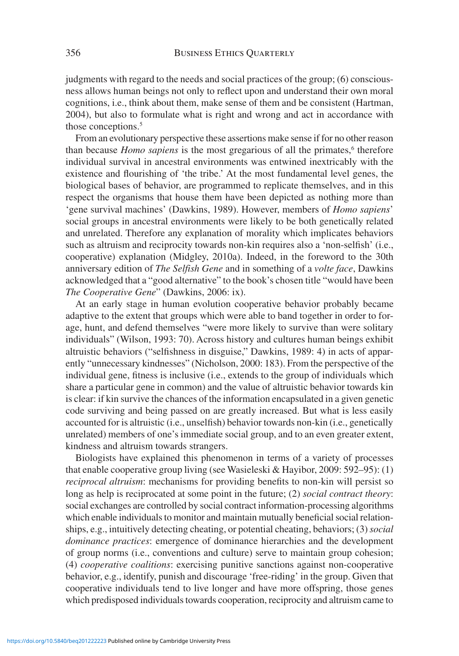judgments with regard to the needs and social practices of the group; (6) consciousness allows human beings not only to reflect upon and understand their own moral cognitions, i.e., think about them, make sense of them and be consistent (Hartman, 2004), but also to formulate what is right and wrong and act in accordance with those conceptions.<sup>5</sup>

From an evolutionary perspective these assertions make sense if for no other reason than because *Homo sapiens* is the most gregarious of all the primates,<sup>6</sup> therefore individual survival in ancestral environments was entwined inextricably with the existence and flourishing of 'the tribe.' At the most fundamental level genes, the biological bases of behavior, are programmed to replicate themselves, and in this respect the organisms that house them have been depicted as nothing more than 'gene survival machines' (Dawkins, 1989). However, members of *Homo sapiens*' social groups in ancestral environments were likely to be both genetically related and unrelated. Therefore any explanation of morality which implicates behaviors such as altruism and reciprocity towards non-kin requires also a 'non-selfish' (i.e., cooperative) explanation (Midgley, 2010a). Indeed, in the foreword to the 30th anniversary edition of *The Selfish Gene* and in something of a *volte face*, Dawkins acknowledged that a "good alternative" to the book's chosen title "would have been *The Cooperative Gene*" (Dawkins, 2006: ix).

At an early stage in human evolution cooperative behavior probably became adaptive to the extent that groups which were able to band together in order to forage, hunt, and defend themselves "were more likely to survive than were solitary individuals" (Wilson, 1993: 70). Across history and cultures human beings exhibit altruistic behaviors ("selfishness in disguise," Dawkins, 1989: 4) in acts of apparently "unnecessary kindnesses" (Nicholson, 2000: 183). From the perspective of the individual gene, fitness is inclusive (i.e., extends to the group of individuals which share a particular gene in common) and the value of altruistic behavior towards kin is clear: if kin survive the chances of the information encapsulated in a given genetic code surviving and being passed on are greatly increased. But what is less easily accounted for is altruistic (i.e., unselfish) behavior towards non-kin (i.e., genetically unrelated) members of one's immediate social group, and to an even greater extent, kindness and altruism towards strangers.

Biologists have explained this phenomenon in terms of a variety of processes that enable cooperative group living (see Wasieleski & Hayibor, 2009: 592–95): (1) *reciprocal altruism*: mechanisms for providing benefits to non-kin will persist so long as help is reciprocated at some point in the future; (2) *social contract theory*: social exchanges are controlled by social contract information-processing algorithms which enable individuals to monitor and maintain mutually beneficial social relationships, e.g., intuitively detecting cheating, or potential cheating, behaviors; (3) *social dominance practices*: emergence of dominance hierarchies and the development of group norms (i.e., conventions and culture) serve to maintain group cohesion; (4) *cooperative coalitions*: exercising punitive sanctions against non-cooperative behavior, e.g., identify, punish and discourage 'free-riding' in the group. Given that cooperative individuals tend to live longer and have more offspring, those genes which predisposed individuals towards cooperation, reciprocity and altruism came to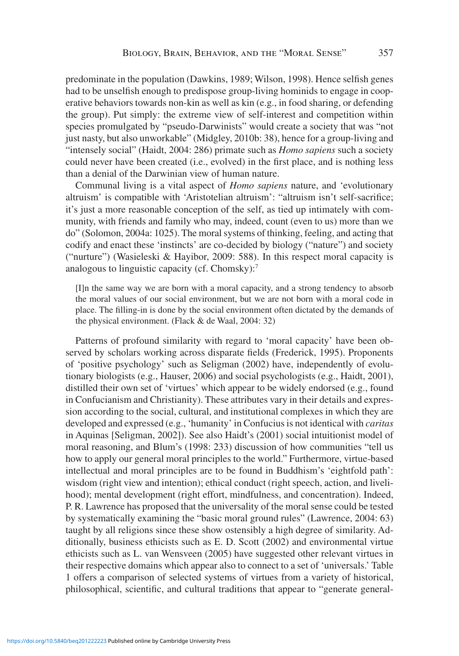predominate in the population (Dawkins, 1989; Wilson, 1998). Hence selfish genes had to be unselfish enough to predispose group-living hominids to engage in cooperative behaviors towards non-kin as well as kin (e.g., in food sharing, or defending the group). Put simply: the extreme view of self-interest and competition within species promulgated by "pseudo-Darwinists" would create a society that was "not just nasty, but also unworkable" (Midgley, 2010b: 38), hence for a group-living and "intensely social" (Haidt, 2004: 286) primate such as *Homo sapiens* such a society could never have been created (i.e., evolved) in the first place, and is nothing less than a denial of the Darwinian view of human nature.

Communal living is a vital aspect of *Homo sapiens* nature, and 'evolutionary altruism' is compatible with 'Aristotelian altruism': "altruism isn't self-sacrifice; it's just a more reasonable conception of the self, as tied up intimately with community, with friends and family who may, indeed, count (even to us) more than we do" (Solomon, 2004a: 1025). The moral systems of thinking, feeling, and acting that codify and enact these 'instincts' are co-decided by biology ("nature") and society ("nurture") (Wasieleski & Hayibor, 2009: 588). In this respect moral capacity is analogous to linguistic capacity (cf. Chomsky):7

[I]n the same way we are born with a moral capacity, and a strong tendency to absorb the moral values of our social environment, but we are not born with a moral code in place. The filling-in is done by the social environment often dictated by the demands of the physical environment. (Flack & de Waal, 2004: 32)

Patterns of profound similarity with regard to 'moral capacity' have been observed by scholars working across disparate fields (Frederick, 1995). Proponents of 'positive psychology' such as Seligman (2002) have, independently of evolutionary biologists (e.g., Hauser, 2006) and social psychologists (e.g., Haidt, 2001), distilled their own set of 'virtues' which appear to be widely endorsed (e.g., found in Confucianism and Christianity). These attributes vary in their details and expression according to the social, cultural, and institutional complexes in which they are developed and expressed (e.g., 'humanity' in Confucius is not identical with *caritas* in Aquinas [Seligman, 2002]). See also Haidt's (2001) social intuitionist model of moral reasoning, and Blum's (1998: 233) discussion of how communities "tell us how to apply our general moral principles to the world." Furthermore, virtue-based intellectual and moral principles are to be found in Buddhism's 'eightfold path': wisdom (right view and intention); ethical conduct (right speech, action, and livelihood); mental development (right effort, mindfulness, and concentration). Indeed, P. R. Lawrence has proposed that the universality of the moral sense could be tested by systematically examining the "basic moral ground rules" (Lawrence, 2004: 63) taught by all religions since these show ostensibly a high degree of similarity. Additionally, business ethicists such as E. D. Scott (2002) and environmental virtue ethicists such as L. van Wensveen (2005) have suggested other relevant virtues in their respective domains which appear also to connect to a set of 'universals.' Table 1 offers a comparison of selected systems of virtues from a variety of historical, philosophical, scientific, and cultural traditions that appear to "generate general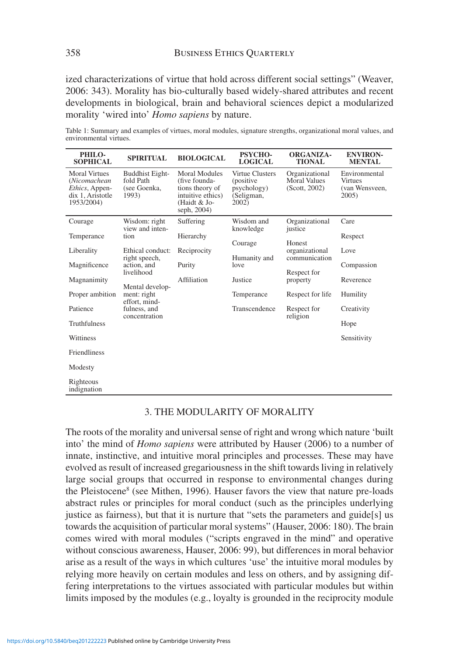ized characterizations of virtue that hold across different social settings" (Weaver, 2006: 343). Morality has bio-culturally based widely-shared attributes and recent developments in biological, brain and behavioral sciences depict a modularized morality 'wired into' *Homo sapiens* by nature.

Table 1: Summary and examples of virtues, moral modules, signature strengths, organizational moral values, and environmental virtues.

| PHILO-<br><b>SOPHICAL</b>                                                                | <b>SPIRITUAL</b>                                                                  | <b>BIOLOGICAL</b>                                                                                            | <b>PSYCHO-</b><br><b>LOGICAL</b>                                    | <b>ORGANIZA-</b><br><b>TIONAL</b>                                    | <b>ENVIRON-</b><br><b>MENTAL</b>                           |
|------------------------------------------------------------------------------------------|-----------------------------------------------------------------------------------|--------------------------------------------------------------------------------------------------------------|---------------------------------------------------------------------|----------------------------------------------------------------------|------------------------------------------------------------|
| <b>Moral Virtues</b><br>(Nicomachean<br>Ethics, Appen-<br>dix 1. Aristotle<br>1953/2004) | <b>Buddhist Eight-</b><br>fold Path<br>(see Goenka,<br>1993)                      | <b>Moral Modules</b><br>(five founda-<br>tions theory of<br>intuitive ethics)<br>(Haidt & Jo-<br>seph, 2004) | Virtue Clusters<br>(positive)<br>psychology)<br>(Seligman,<br>2002) | Organizational<br><b>Moral Values</b><br>(Scott, 2002)               | Environmental<br><b>Virtues</b><br>(van Wensveen,<br>2005) |
| Courage<br>Temperance                                                                    | Wisdom: right<br>view and inten-<br>tion                                          | Suffering<br>Hierarchy                                                                                       | Wisdom and<br>knowledge                                             | Organizational<br>justice                                            | Care<br>Respect                                            |
| Liberality                                                                               | Ethical conduct:<br>right speech,<br>action, and<br>livelihood<br>Mental develop- | Reciprocity                                                                                                  | Courage<br>Humanity and                                             | Honest<br>organizational<br>communication<br>Respect for<br>property | Love                                                       |
| Magnificence<br>Magnanimity                                                              |                                                                                   | Purity<br>Affiliation                                                                                        | love<br>Justice                                                     |                                                                      | Compassion<br>Reverence                                    |
| Proper ambition                                                                          | ment: right<br>effort, mind-                                                      |                                                                                                              | Temperance                                                          | Respect for life                                                     | Humility                                                   |
| Patience                                                                                 | fulness, and<br>concentration                                                     |                                                                                                              | Transcendence                                                       | Respect for<br>religion                                              | Creativity                                                 |
| <b>Truthfulness</b>                                                                      |                                                                                   |                                                                                                              |                                                                     |                                                                      | Hope                                                       |
| Wittiness                                                                                |                                                                                   |                                                                                                              |                                                                     |                                                                      | Sensitivity                                                |
| Friendliness                                                                             |                                                                                   |                                                                                                              |                                                                     |                                                                      |                                                            |
| Modesty                                                                                  |                                                                                   |                                                                                                              |                                                                     |                                                                      |                                                            |
| Righteous<br>indignation                                                                 |                                                                                   |                                                                                                              |                                                                     |                                                                      |                                                            |

#### 3. THE MODULARITY OF MORALITY

The roots of the morality and universal sense of right and wrong which nature 'built into' the mind of *Homo sapiens* were attributed by Hauser (2006) to a number of innate, instinctive, and intuitive moral principles and processes. These may have evolved as result of increased gregariousness in the shift towards living in relatively large social groups that occurred in response to environmental changes during the Pleistocene<sup>8</sup> (see Mithen, 1996). Hauser favors the view that nature pre-loads abstract rules or principles for moral conduct (such as the principles underlying justice as fairness), but that it is nurture that "sets the parameters and guide[s] us towards the acquisition of particular moral systems" (Hauser, 2006: 180). The brain comes wired with moral modules ("scripts engraved in the mind" and operative without conscious awareness, Hauser, 2006: 99), but differences in moral behavior arise as a result of the ways in which cultures 'use' the intuitive moral modules by relying more heavily on certain modules and less on others, and by assigning differing interpretations to the virtues associated with particular modules but within limits imposed by the modules (e.g., loyalty is grounded in the reciprocity module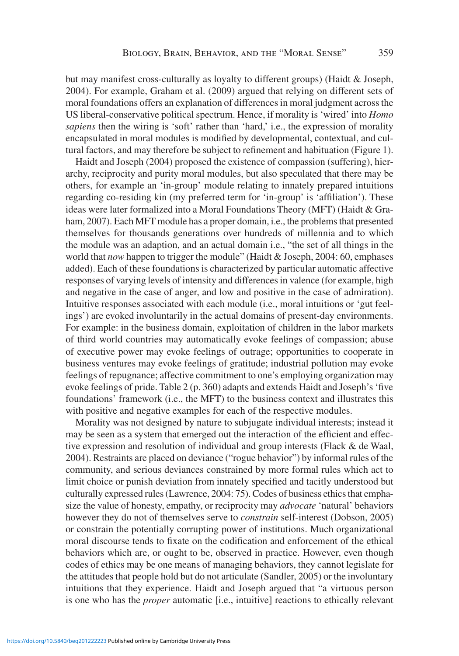but may manifest cross-culturally as loyalty to different groups) (Haidt & Joseph, 2004). For example, Graham et al. (2009) argued that relying on different sets of moral foundations offers an explanation of differences in moral judgment across the US liberal-conservative political spectrum. Hence, if morality is 'wired' into *Homo sapiens* then the wiring is 'soft' rather than 'hard,' i.e., the expression of morality encapsulated in moral modules is modified by developmental, contextual, and cultural factors, and may therefore be subject to refinement and habituation (Figure 1).

Haidt and Joseph (2004) proposed the existence of compassion (suffering), hierarchy, reciprocity and purity moral modules, but also speculated that there may be others, for example an 'in-group' module relating to innately prepared intuitions regarding co-residing kin (my preferred term for 'in-group' is 'affiliation'). These ideas were later formalized into a Moral Foundations Theory (MFT) (Haidt & Graham, 2007). Each MFT module has a proper domain, i.e., the problems that presented themselves for thousands generations over hundreds of millennia and to which the module was an adaption, and an actual domain i.e., "the set of all things in the world that *now* happen to trigger the module" (Haidt & Joseph, 2004: 60, emphases added). Each of these foundations is characterized by particular automatic affective responses of varying levels of intensity and differences in valence (for example, high and negative in the case of anger, and low and positive in the case of admiration). Intuitive responses associated with each module (i.e., moral intuitions or 'gut feelings') are evoked involuntarily in the actual domains of present-day environments. For example: in the business domain, exploitation of children in the labor markets of third world countries may automatically evoke feelings of compassion; abuse of executive power may evoke feelings of outrage; opportunities to cooperate in business ventures may evoke feelings of gratitude; industrial pollution may evoke feelings of repugnance; affective commitment to one's employing organization may evoke feelings of pride. Table 2 (p. 360) adapts and extends Haidt and Joseph's 'five foundations' framework (i.e., the MFT) to the business context and illustrates this with positive and negative examples for each of the respective modules.

Morality was not designed by nature to subjugate individual interests; instead it may be seen as a system that emerged out the interaction of the efficient and effective expression and resolution of individual and group interests (Flack & de Waal, 2004). Restraints are placed on deviance ("rogue behavior") by informal rules of the community, and serious deviances constrained by more formal rules which act to limit choice or punish deviation from innately specified and tacitly understood but culturally expressed rules (Lawrence, 2004: 75). Codes of business ethics that emphasize the value of honesty, empathy, or reciprocity may *advocate* 'natural' behaviors however they do not of themselves serve to *constrain* self-interest (Dobson, 2005) or constrain the potentially corrupting power of institutions. Much organizational moral discourse tends to fixate on the codification and enforcement of the ethical behaviors which are, or ought to be, observed in practice. However, even though codes of ethics may be one means of managing behaviors, they cannot legislate for the attitudes that people hold but do not articulate (Sandler, 2005) or the involuntary intuitions that they experience. Haidt and Joseph argued that "a virtuous person is one who has the *proper* automatic [i.e., intuitive] reactions to ethically relevant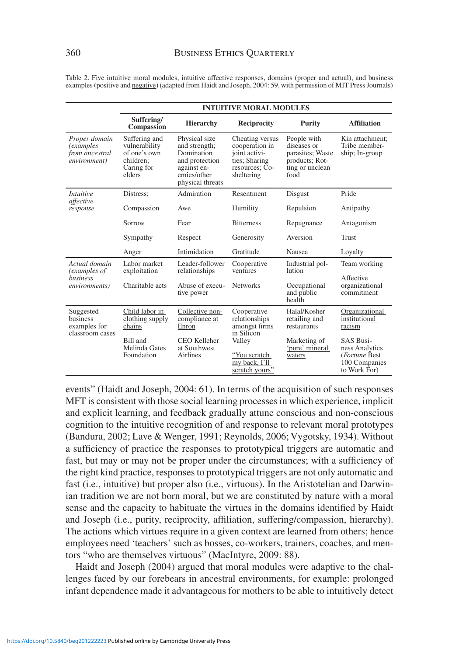|                                                                       | <b>INTUITIVE MORAL MODULES</b>                                                      |                                                                                                                  |                                                                                                     |                                                                                             |                                                    |  |  |
|-----------------------------------------------------------------------|-------------------------------------------------------------------------------------|------------------------------------------------------------------------------------------------------------------|-----------------------------------------------------------------------------------------------------|---------------------------------------------------------------------------------------------|----------------------------------------------------|--|--|
|                                                                       | Suffering/<br>Compassion                                                            | <b>Hierarchy</b>                                                                                                 | <b>Reciprocity</b>                                                                                  | <b>Purity</b>                                                                               | <b>Affiliation</b>                                 |  |  |
| Proper domain<br><i>(examples</i> )<br>from ancestral<br>environment) | Suffering and<br>vulnerability<br>of one's own<br>children:<br>Caring for<br>elders | Physical size<br>and strength;<br>Domination<br>and protection<br>against en-<br>emies/other<br>physical threats | Cheating versus<br>cooperation in<br>joint activi-<br>ties; Sharing<br>resources; Co-<br>sheltering | People with<br>diseases or<br>parasites; Waste<br>products; Rot-<br>ting or unclean<br>food | Kin attachment;<br>Tribe member-<br>ship; In-group |  |  |
| <i>Intuitive</i><br>affective<br>response                             | Distress:                                                                           | Admiration                                                                                                       | Resentment                                                                                          | Disgust                                                                                     | Pride                                              |  |  |
|                                                                       | Compassion                                                                          | Awe                                                                                                              | Humility                                                                                            | Repulsion                                                                                   | Antipathy                                          |  |  |
|                                                                       | Sorrow                                                                              | Fear                                                                                                             | <b>Bitterness</b>                                                                                   | Repugnance                                                                                  | Antagonism                                         |  |  |
|                                                                       | Sympathy                                                                            | Respect                                                                                                          | Generosity                                                                                          | Aversion                                                                                    | <b>Trust</b>                                       |  |  |
|                                                                       | Anger                                                                               | Intimidation                                                                                                     | Gratitude                                                                                           | Nausea                                                                                      | Loyalty                                            |  |  |
| Actual domain<br>(examples of<br>business<br><i>environments</i> )    | Labor market<br>exploitation                                                        | Leader-follower<br>relationships                                                                                 | Cooperative<br>ventures                                                                             | Industrial pol-<br>lution                                                                   | Team working                                       |  |  |
|                                                                       | Charitable acts                                                                     | Abuse of execu-<br>tive power                                                                                    | <b>Networks</b>                                                                                     | Occupational<br>and public<br>health                                                        | Affective<br>organizational<br>commitment          |  |  |
| Suggested<br>business<br>examples for<br>classroom cases              | Child labor in<br>clothing supply<br>chains                                         | Collective non-<br>compliance at<br>Enron                                                                        | Cooperative<br>relationships<br>amongst firms                                                       | Halal/Kosher<br>retailing and<br>restaurants                                                | Organizational<br>institutional<br>racism          |  |  |
|                                                                       | Bill and                                                                            | CEO Kelleher                                                                                                     | in Silicon<br>Valley                                                                                | Marketing of                                                                                | <b>SAS Busi-</b>                                   |  |  |

Table 2. Five intuitive moral modules, intuitive affective responses, domains (proper and actual), and business examples (positive and negative) (adapted from Haidt and Joseph, 2004: 59, with permission of MIT Press Journals)

events" (Haidt and Joseph, 2004: 61). In terms of the acquisition of such responses MFT is consistent with those social learning processes in which experience, implicit and explicit learning, and feedback gradually attune conscious and non-conscious cognition to the intuitive recognition of and response to relevant moral prototypes (Bandura, 2002; Lave & Wenger, 1991; Reynolds, 2006; Vygotsky, 1934). Without a sufficiency of practice the responses to prototypical triggers are automatic and fast, but may or may not be proper under the circumstances; with a sufficiency of the right kind practice, responses to prototypical triggers are not only automatic and fast (i.e., intuitive) but proper also (i.e., virtuous). In the Aristotelian and Darwinian tradition we are not born moral, but we are constituted by nature with a moral sense and the capacity to habituate the virtues in the domains identified by Haidt and Joseph (i.e., purity, reciprocity, affiliation, suffering/compassion, hierarchy). The actions which virtues require in a given context are learned from others; hence employees need 'teachers' such as bosses, co-workers, trainers, coaches, and mentors "who are themselves virtuous" (MacIntyre, 2009: 88).

"You scratch my back, I'll scratch yours

'pure' mineral waters

ness Analytics (*Fortune* Best 100 Companies to Work For)

Haidt and Joseph (2004) argued that moral modules were adaptive to the challenges faced by our forebears in ancestral environments, for example: prolonged infant dependence made it advantageous for mothers to be able to intuitively detect

Melinda Gates Foundation

at Southwest Airlines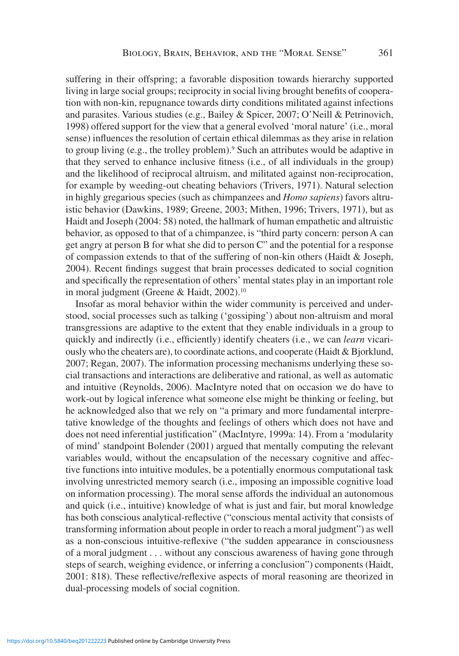suffering in their offspring; a favorable disposition towards hierarchy supported living in large social groups; reciprocity in social living brought benefits of cooperation with non-kin, repugnance towards dirty conditions militated against infections and parasites. Various studies (e.g., Bailey & Spicer, 2007; O'Neill & Petrinovich, 1998) offered support for the view that a general evolved 'moral nature' (i.e., moral sense) influences the resolution of certain ethical dilemmas as they arise in relation to group living (e.g., the trolley problem).<sup>9</sup> Such an attributes would be adaptive in that they served to enhance inclusive fitness (i.e., of all individuals in the group) and the likelihood of reciprocal altruism, and militated against non-reciprocation, for example by weeding-out cheating behaviors (Trivers, 1971). Natural selection in highly gregarious species (such as chimpanzees and *Homo sapiens*) favors altruistic behavior (Dawkins, 1989; Greene, 2003; Mithen, 1996; Trivers, 1971), but as Haidt and Joseph (2004: 58) noted, the hallmark of human empathetic and altruistic behavior, as opposed to that of a chimpanzee, is "third party concern: person A can get angry at person B for what she did to person C" and the potential for a response of compassion extends to that of the suffering of non-kin others (Haidt & Joseph, 2004). Recent findings suggest that brain processes dedicated to social cognition and specifically the representation of others' mental states play in an important role in moral judgment (Greene & Haidt, 2002).<sup>10</sup>

Insofar as moral behavior within the wider community is perceived and understood, social processes such as talking ('gossiping') about non-altruism and moral transgressions are adaptive to the extent that they enable individuals in a group to quickly and indirectly (i.e., efficiently) identify cheaters (i.e., we can *learn* vicariously who the cheaters are), to coordinate actions, and cooperate (Haidt & Bjorklund, 2007; Regan, 2007). The information processing mechanisms underlying these social transactions and interactions are deliberative and rational, as well as automatic and intuitive (Reynolds, 2006). MacIntyre noted that on occasion we do have to work-out by logical inference what someone else might be thinking or feeling, but he acknowledged also that we rely on "a primary and more fundamental interpretative knowledge of the thoughts and feelings of others which does not have and does not need inferential justification" (MacIntyre, 1999a: 14). From a 'modularity of mind' standpoint Bolender (2001) argued that mentally computing the relevant variables would, without the encapsulation of the necessary cognitive and affective functions into intuitive modules, be a potentially enormous computational task involving unrestricted memory search (i.e., imposing an impossible cognitive load on information processing). The moral sense affords the individual an autonomous and quick (i.e., intuitive) knowledge of what is just and fair, but moral knowledge has both conscious analytical-reflective ("conscious mental activity that consists of transforming information about people in order to reach a moral judgment") as well as a non-conscious intuitive-reflexive ("the sudden appearance in consciousness of a moral judgment . . . without any conscious awareness of having gone through steps of search, weighing evidence, or inferring a conclusion") components (Haidt, 2001: 818). These reflective/reflexive aspects of moral reasoning are theorized in dual-processing models of social cognition.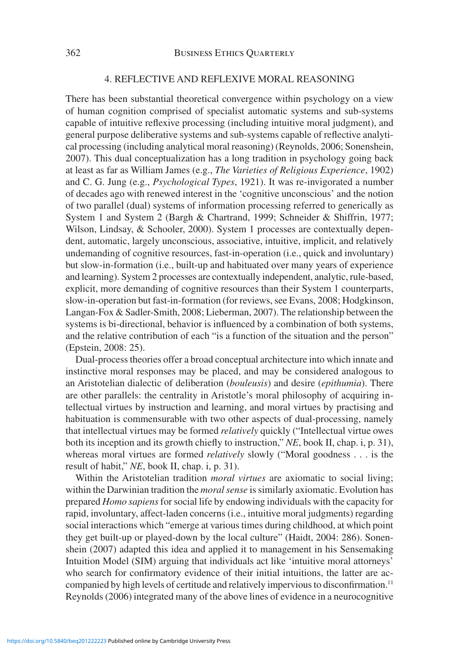### 4. REFLECTIVE AND REFLEXIVE MORAL REASONING

There has been substantial theoretical convergence within psychology on a view of human cognition comprised of specialist automatic systems and sub-systems capable of intuitive reflexive processing (including intuitive moral judgment), and general purpose deliberative systems and sub-systems capable of reflective analytical processing (including analytical moral reasoning) (Reynolds, 2006; Sonenshein, 2007). This dual conceptualization has a long tradition in psychology going back at least as far as William James (e.g., *The Varieties of Religious Experience*, 1902) and C. G. Jung (e.g., *Psychological Types*, 1921). It was re-invigorated a number of decades ago with renewed interest in the 'cognitive unconscious' and the notion of two parallel (dual) systems of information processing referred to generically as System 1 and System 2 (Bargh & Chartrand, 1999; Schneider & Shiffrin, 1977; Wilson, Lindsay, & Schooler, 2000). System 1 processes are contextually dependent, automatic, largely unconscious, associative, intuitive, implicit, and relatively undemanding of cognitive resources, fast-in-operation (i.e., quick and involuntary) but slow-in-formation (i.e., built-up and habituated over many years of experience and learning). System 2 processes are contextually independent, analytic, rule-based, explicit, more demanding of cognitive resources than their System 1 counterparts, slow-in-operation but fast-in-formation (for reviews, see Evans, 2008; Hodgkinson, Langan-Fox & Sadler-Smith, 2008; Lieberman, 2007). The relationship between the systems is bi-directional, behavior is influenced by a combination of both systems, and the relative contribution of each "is a function of the situation and the person" (Epstein, 2008: 25).

Dual-process theories offer a broad conceptual architecture into which innate and instinctive moral responses may be placed, and may be considered analogous to an Aristotelian dialectic of deliberation (*bouleusis*) and desire (*epithumia*). There are other parallels: the centrality in Aristotle's moral philosophy of acquiring intellectual virtues by instruction and learning, and moral virtues by practising and habituation is commensurable with two other aspects of dual-processing, namely that intellectual virtues may be formed *relatively* quickly ("Intellectual virtue owes both its inception and its growth chiefly to instruction," *NE*, book II, chap. i, p. 31), whereas moral virtues are formed *relatively* slowly ("Moral goodness . . . is the result of habit," *NE*, book II, chap. i, p. 31).

Within the Aristotelian tradition *moral virtues* are axiomatic to social living; within the Darwinian tradition the *moral sense* is similarly axiomatic. Evolution has prepared *Homo sapiens* for social life by endowing individuals with the capacity for rapid, involuntary, affect-laden concerns (i.e., intuitive moral judgments) regarding social interactions which "emerge at various times during childhood, at which point they get built-up or played-down by the local culture" (Haidt, 2004: 286). Sonenshein (2007) adapted this idea and applied it to management in his Sensemaking Intuition Model (SIM) arguing that individuals act like 'intuitive moral attorneys' who search for confirmatory evidence of their initial intuitions, the latter are accompanied by high levels of certitude and relatively impervious to disconfirmation.<sup>11</sup> Reynolds (2006) integrated many of the above lines of evidence in a neurocognitive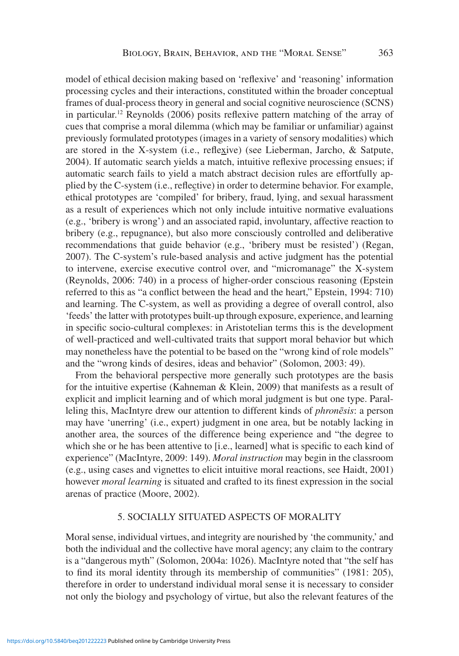model of ethical decision making based on 'reflexive' and 'reasoning' information processing cycles and their interactions, constituted within the broader conceptual frames of dual-process theory in general and social cognitive neuroscience (SCNS) in particular.12 Reynolds (2006) posits reflexive pattern matching of the array of cues that comprise a moral dilemma (which may be familiar or unfamiliar) against previously formulated prototypes (images in a variety of sensory modalities) which are stored in the X-system (i.e., reflexive) (see Lieberman, Jarcho, & Satpute, 2004). If automatic search yields a match, intuitive reflexive processing ensues; if automatic search fails to yield a match abstract decision rules are effortfully applied by the C-system (i.e., reflective) in order to determine behavior. For example, ethical prototypes are 'compiled' for bribery, fraud, lying, and sexual harassment as a result of experiences which not only include intuitive normative evaluations (e.g., 'bribery is wrong') and an associated rapid, involuntary, affective reaction to bribery (e.g., repugnance), but also more consciously controlled and deliberative recommendations that guide behavior (e.g., 'bribery must be resisted') (Regan, 2007). The C-system's rule-based analysis and active judgment has the potential to intervene, exercise executive control over, and "micromanage" the X-system (Reynolds, 2006: 740) in a process of higher-order conscious reasoning (Epstein referred to this as "a conflict between the head and the heart," Epstein, 1994: 710) and learning. The C-system, as well as providing a degree of overall control, also 'feeds' the latter with prototypes built-up through exposure, experience, and learning in specific socio-cultural complexes: in Aristotelian terms this is the development of well-practiced and well-cultivated traits that support moral behavior but which may nonetheless have the potential to be based on the "wrong kind of role models" and the "wrong kinds of desires, ideas and behavior" (Solomon, 2003: 49).

From the behavioral perspective more generally such prototypes are the basis for the intuitive expertise (Kahneman & Klein, 2009) that manifests as a result of explicit and implicit learning and of which moral judgment is but one type. Paralleling this, MacIntyre drew our attention to different kinds of *phronēsis*: a person may have 'unerring' (i.e., expert) judgment in one area, but be notably lacking in another area, the sources of the difference being experience and "the degree to which she or he has been attentive to [i.e., learned] what is specific to each kind of experience" (MacIntyre, 2009: 149). *Moral instruction* may begin in the classroom (e.g., using cases and vignettes to elicit intuitive moral reactions, see Haidt, 2001) however *moral learning* is situated and crafted to its finest expression in the social arenas of practice (Moore, 2002).

#### 5. SOCIALLY SITUATED ASPECTS OF MORALITY

Moral sense, individual virtues, and integrity are nourished by 'the community,' and both the individual and the collective have moral agency; any claim to the contrary is a "dangerous myth" (Solomon, 2004a: 1026). MacIntyre noted that "the self has to find its moral identity through its membership of communities" (1981: 205), therefore in order to understand individual moral sense it is necessary to consider not only the biology and psychology of virtue, but also the relevant features of the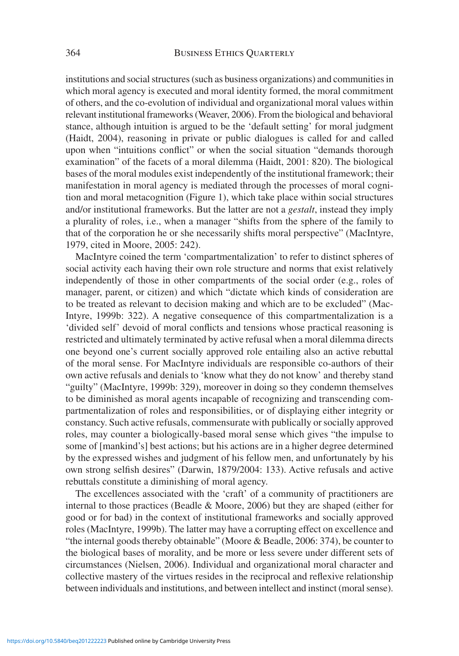institutions and social structures (such as business organizations) and communities in which moral agency is executed and moral identity formed, the moral commitment of others, and the co-evolution of individual and organizational moral values within relevant institutional frameworks (Weaver, 2006). From the biological and behavioral stance, although intuition is argued to be the 'default setting' for moral judgment (Haidt, 2004), reasoning in private or public dialogues is called for and called upon when "intuitions conflict" or when the social situation "demands thorough examination" of the facets of a moral dilemma (Haidt, 2001: 820). The biological bases of the moral modules exist independently of the institutional framework; their manifestation in moral agency is mediated through the processes of moral cognition and moral metacognition (Figure 1), which take place within social structures and/or institutional frameworks. But the latter are not a *gestalt*, instead they imply a plurality of roles, i.e., when a manager "shifts from the sphere of the family to that of the corporation he or she necessarily shifts moral perspective" (MacIntyre, 1979, cited in Moore, 2005: 242).

MacIntyre coined the term 'compartmentalization' to refer to distinct spheres of social activity each having their own role structure and norms that exist relatively independently of those in other compartments of the social order (e.g., roles of manager, parent, or citizen) and which "dictate which kinds of consideration are to be treated as relevant to decision making and which are to be excluded" (Mac-Intyre, 1999b: 322). A negative consequence of this compartmentalization is a 'divided self' devoid of moral conflicts and tensions whose practical reasoning is restricted and ultimately terminated by active refusal when a moral dilemma directs one beyond one's current socially approved role entailing also an active rebuttal of the moral sense. For MacIntyre individuals are responsible co-authors of their own active refusals and denials to 'know what they do not know' and thereby stand "guilty" (MacIntyre, 1999b: 329), moreover in doing so they condemn themselves to be diminished as moral agents incapable of recognizing and transcending compartmentalization of roles and responsibilities, or of displaying either integrity or constancy. Such active refusals, commensurate with publically or socially approved roles, may counter a biologically-based moral sense which gives "the impulse to some of [mankind's] best actions; but his actions are in a higher degree determined by the expressed wishes and judgment of his fellow men, and unfortunately by his own strong selfish desires" (Darwin, 1879/2004: 133). Active refusals and active rebuttals constitute a diminishing of moral agency.

The excellences associated with the 'craft' of a community of practitioners are internal to those practices (Beadle & Moore, 2006) but they are shaped (either for good or for bad) in the context of institutional frameworks and socially approved roles (MacIntyre, 1999b). The latter may have a corrupting effect on excellence and "the internal goods thereby obtainable" (Moore & Beadle, 2006: 374), be counter to the biological bases of morality, and be more or less severe under different sets of circumstances (Nielsen, 2006). Individual and organizational moral character and collective mastery of the virtues resides in the reciprocal and reflexive relationship between individuals and institutions, and between intellect and instinct (moral sense).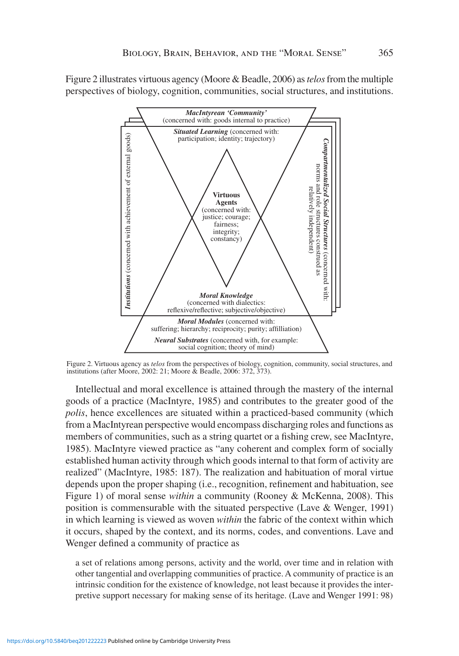Figure 2 illustrates virtuous agency (Moore & Beadle, 2006) as *telos* from the multiple perspectives of biology, cognition, communities, social structures, and institutions.



Figure 2. Virtuous agency as *telos* from the perspectives of biology, cognition, community, social structures, and institutions (after Moore, 2002: 21; Moore & Beadle, 2006: 372, 373).

Intellectual and moral excellence is attained through the mastery of the internal goods of a practice (MacIntyre, 1985) and contributes to the greater good of the *polis*, hence excellences are situated within a practiced-based community (which from a MacIntyrean perspective would encompass discharging roles and functions as members of communities, such as a string quartet or a fishing crew, see MacIntyre, 1985). MacIntyre viewed practice as "any coherent and complex form of socially established human activity through which goods internal to that form of activity are realized" (MacIntyre, 1985: 187). The realization and habituation of moral virtue depends upon the proper shaping (i.e., recognition, refinement and habituation, see Figure 1) of moral sense *within* a community (Rooney & McKenna, 2008). This position is commensurable with the situated perspective (Lave & Wenger, 1991) in which learning is viewed as woven *within* the fabric of the context within which it occurs, shaped by the context, and its norms, codes, and conventions. Lave and Wenger defined a community of practice as

a set of relations among persons, activity and the world, over time and in relation with other tangential and overlapping communities of practice. A community of practice is an intrinsic condition for the existence of knowledge, not least because it provides the interpretive support necessary for making sense of its heritage. (Lave and Wenger 1991: 98)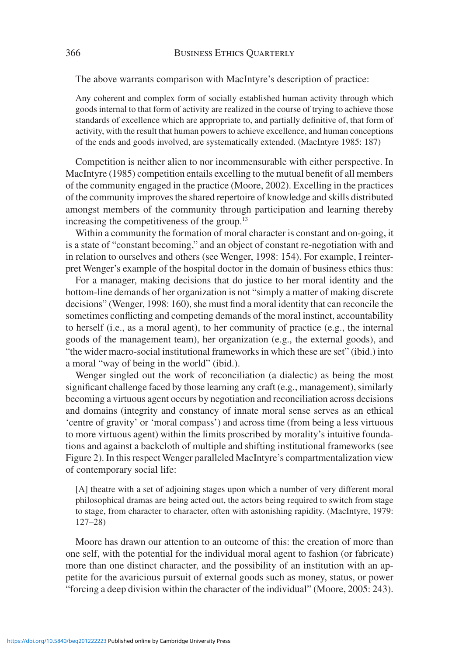The above warrants comparison with MacIntyre's description of practice:

Any coherent and complex form of socially established human activity through which goods internal to that form of activity are realized in the course of trying to achieve those standards of excellence which are appropriate to, and partially definitive of, that form of activity, with the result that human powers to achieve excellence, and human conceptions of the ends and goods involved, are systematically extended. (MacIntyre 1985: 187)

Competition is neither alien to nor incommensurable with either perspective. In MacIntyre (1985) competition entails excelling to the mutual benefit of all members of the community engaged in the practice (Moore, 2002). Excelling in the practices of the community improves the shared repertoire of knowledge and skills distributed amongst members of the community through participation and learning thereby increasing the competitiveness of the group.<sup>13</sup>

Within a community the formation of moral character is constant and on-going, it is a state of "constant becoming," and an object of constant re-negotiation with and in relation to ourselves and others (see Wenger, 1998: 154). For example, I reinterpret Wenger's example of the hospital doctor in the domain of business ethics thus:

For a manager, making decisions that do justice to her moral identity and the bottom-line demands of her organization is not "simply a matter of making discrete decisions" (Wenger, 1998: 160), she must find a moral identity that can reconcile the sometimes conflicting and competing demands of the moral instinct, accountability to herself (i.e., as a moral agent), to her community of practice (e.g., the internal goods of the management team), her organization (e.g., the external goods), and "the wider macro-social institutional frameworks in which these are set" (ibid.) into a moral "way of being in the world" (ibid.).

Wenger singled out the work of reconciliation (a dialectic) as being the most significant challenge faced by those learning any craft (e.g., management), similarly becoming a virtuous agent occurs by negotiation and reconciliation across decisions and domains (integrity and constancy of innate moral sense serves as an ethical 'centre of gravity' or 'moral compass') and across time (from being a less virtuous to more virtuous agent) within the limits proscribed by morality's intuitive foundations and against a backcloth of multiple and shifting institutional frameworks (see Figure 2). In this respect Wenger paralleled MacIntyre's compartmentalization view of contemporary social life:

[A] theatre with a set of adjoining stages upon which a number of very different moral philosophical dramas are being acted out, the actors being required to switch from stage to stage, from character to character, often with astonishing rapidity. (MacIntyre, 1979: 127–28)

Moore has drawn our attention to an outcome of this: the creation of more than one self, with the potential for the individual moral agent to fashion (or fabricate) more than one distinct character, and the possibility of an institution with an appetite for the avaricious pursuit of external goods such as money, status, or power "forcing a deep division within the character of the individual" (Moore, 2005: 243).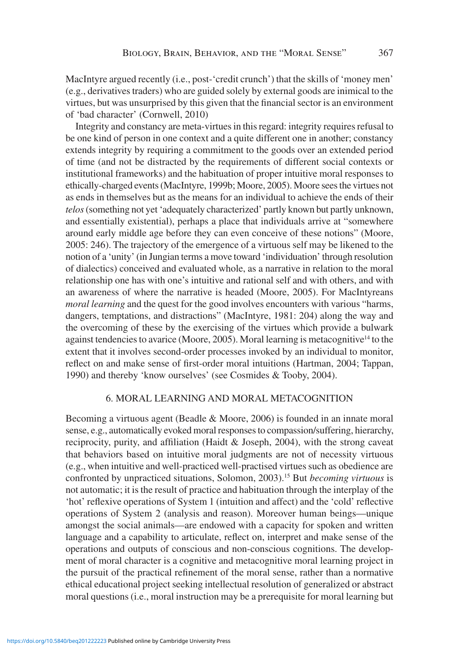MacIntyre argued recently (i.e., post-'credit crunch') that the skills of 'money men' (e.g., derivatives traders) who are guided solely by external goods are inimical to the virtues, but was unsurprised by this given that the financial sector is an environment of 'bad character' (Cornwell, 2010)

Integrity and constancy are meta-virtues in this regard: integrity requires refusal to be one kind of person in one context and a quite different one in another; constancy extends integrity by requiring a commitment to the goods over an extended period of time (and not be distracted by the requirements of different social contexts or institutional frameworks) and the habituation of proper intuitive moral responses to ethically-charged events (MacIntyre, 1999b; Moore, 2005). Moore sees the virtues not as ends in themselves but as the means for an individual to achieve the ends of their *telos* (something not yet 'adequately characterized' partly known but partly unknown, and essentially existential), perhaps a place that individuals arrive at "somewhere around early middle age before they can even conceive of these notions" (Moore, 2005: 246). The trajectory of the emergence of a virtuous self may be likened to the notion of a 'unity' (in Jungian terms a move toward 'individuation' through resolution of dialectics) conceived and evaluated whole, as a narrative in relation to the moral relationship one has with one's intuitive and rational self and with others, and with an awareness of where the narrative is headed (Moore, 2005). For MacIntyreans *moral learning* and the quest for the good involves encounters with various "harms, dangers, temptations, and distractions" (MacIntyre, 1981: 204) along the way and the overcoming of these by the exercising of the virtues which provide a bulwark against tendencies to avarice (Moore, 2005). Moral learning is metacognitive<sup>14</sup> to the extent that it involves second-order processes invoked by an individual to monitor, reflect on and make sense of first-order moral intuitions (Hartman, 2004; Tappan, 1990) and thereby 'know ourselves' (see Cosmides & Tooby, 2004).

#### 6. MORAL LEARNING AND MORAL METACOGNITION

Becoming a virtuous agent (Beadle & Moore, 2006) is founded in an innate moral sense, e.g., automatically evoked moral responses to compassion/suffering, hierarchy, reciprocity, purity, and affiliation (Haidt & Joseph, 2004), with the strong caveat that behaviors based on intuitive moral judgments are not of necessity virtuous (e.g., when intuitive and well-practiced well-practised virtues such as obedience are confronted by unpracticed situations, Solomon, 2003).15 But *becoming virtuous* is not automatic; it is the result of practice and habituation through the interplay of the 'hot' reflexive operations of System 1 (intuition and affect) and the 'cold' reflective operations of System 2 (analysis and reason). Moreover human beings—unique amongst the social animals—are endowed with a capacity for spoken and written language and a capability to articulate, reflect on, interpret and make sense of the operations and outputs of conscious and non-conscious cognitions. The development of moral character is a cognitive and metacognitive moral learning project in the pursuit of the practical refinement of the moral sense, rather than a normative ethical educational project seeking intellectual resolution of generalized or abstract moral questions (i.e., moral instruction may be a prerequisite for moral learning but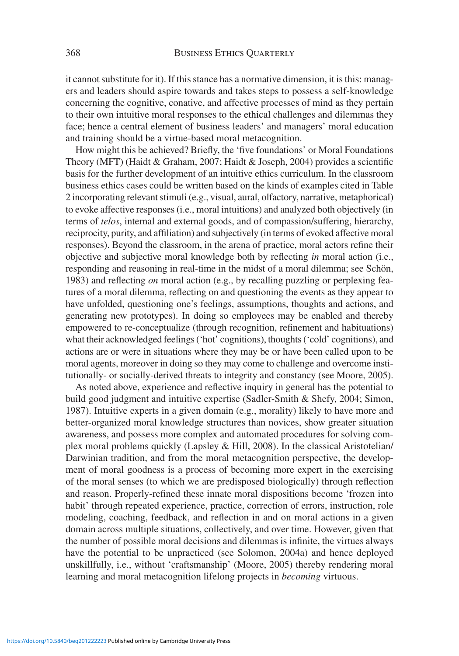it cannot substitute for it). If this stance has a normative dimension, it is this: managers and leaders should aspire towards and takes steps to possess a self-knowledge concerning the cognitive, conative, and affective processes of mind as they pertain to their own intuitive moral responses to the ethical challenges and dilemmas they face; hence a central element of business leaders' and managers' moral education and training should be a virtue-based moral metacognition.

How might this be achieved? Briefly, the 'five foundations' or Moral Foundations Theory (MFT) (Haidt & Graham, 2007; Haidt & Joseph, 2004) provides a scientific basis for the further development of an intuitive ethics curriculum. In the classroom business ethics cases could be written based on the kinds of examples cited in Table 2 incorporating relevant stimuli (e.g., visual, aural, olfactory, narrative, metaphorical) to evoke affective responses (i.e., moral intuitions) and analyzed both objectively (in terms of *telos*, internal and external goods, and of compassion/suffering, hierarchy, reciprocity, purity, and affiliation) and subjectively (in terms of evoked affective moral responses). Beyond the classroom, in the arena of practice, moral actors refine their objective and subjective moral knowledge both by reflecting *in* moral action (i.e., responding and reasoning in real-time in the midst of a moral dilemma; see Schön, 1983) and reflecting *on* moral action (e.g., by recalling puzzling or perplexing features of a moral dilemma, reflecting on and questioning the events as they appear to have unfolded, questioning one's feelings, assumptions, thoughts and actions, and generating new prototypes). In doing so employees may be enabled and thereby empowered to re-conceptualize (through recognition, refinement and habituations) what their acknowledged feelings ('hot' cognitions), thoughts ('cold' cognitions), and actions are or were in situations where they may be or have been called upon to be moral agents, moreover in doing so they may come to challenge and overcome institutionally- or socially-derived threats to integrity and constancy (see Moore, 2005).

As noted above, experience and reflective inquiry in general has the potential to build good judgment and intuitive expertise (Sadler-Smith & Shefy, 2004; Simon, 1987). Intuitive experts in a given domain (e.g., morality) likely to have more and better-organized moral knowledge structures than novices, show greater situation awareness, and possess more complex and automated procedures for solving complex moral problems quickly (Lapsley & Hill, 2008). In the classical Aristotelian/ Darwinian tradition, and from the moral metacognition perspective, the development of moral goodness is a process of becoming more expert in the exercising of the moral senses (to which we are predisposed biologically) through reflection and reason. Properly-refined these innate moral dispositions become 'frozen into habit' through repeated experience, practice, correction of errors, instruction, role modeling, coaching, feedback, and reflection in and on moral actions in a given domain across multiple situations, collectively, and over time. However, given that the number of possible moral decisions and dilemmas is infinite, the virtues always have the potential to be unpracticed (see Solomon, 2004a) and hence deployed unskillfully, i.e., without 'craftsmanship' (Moore, 2005) thereby rendering moral learning and moral metacognition lifelong projects in *becoming* virtuous.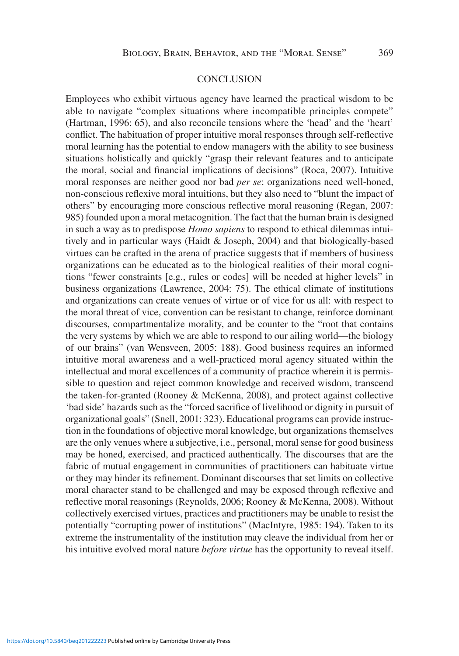#### **CONCLUSION**

Employees who exhibit virtuous agency have learned the practical wisdom to be able to navigate "complex situations where incompatible principles compete" (Hartman, 1996: 65), and also reconcile tensions where the 'head' and the 'heart' conflict. The habituation of proper intuitive moral responses through self-reflective moral learning has the potential to endow managers with the ability to see business situations holistically and quickly "grasp their relevant features and to anticipate the moral, social and financial implications of decisions" (Roca, 2007). Intuitive moral responses are neither good nor bad *per se*: organizations need well-honed, non-conscious reflexive moral intuitions, but they also need to "blunt the impact of others" by encouraging more conscious reflective moral reasoning (Regan, 2007: 985) founded upon a moral metacognition. The fact that the human brain is designed in such a way as to predispose *Homo sapiens* to respond to ethical dilemmas intuitively and in particular ways (Haidt & Joseph, 2004) and that biologically-based virtues can be crafted in the arena of practice suggests that if members of business organizations can be educated as to the biological realities of their moral cognitions "fewer constraints [e.g., rules or codes] will be needed at higher levels" in business organizations (Lawrence, 2004: 75). The ethical climate of institutions and organizations can create venues of virtue or of vice for us all: with respect to the moral threat of vice, convention can be resistant to change, reinforce dominant discourses, compartmentalize morality, and be counter to the "root that contains the very systems by which we are able to respond to our ailing world—the biology of our brains" (van Wensveen, 2005: 188). Good business requires an informed intuitive moral awareness and a well-practiced moral agency situated within the intellectual and moral excellences of a community of practice wherein it is permissible to question and reject common knowledge and received wisdom, transcend the taken-for-granted (Rooney & McKenna, 2008), and protect against collective 'bad side' hazards such as the "forced sacrifice of livelihood or dignity in pursuit of organizational goals" (Snell, 2001: 323). Educational programs can provide instruction in the foundations of objective moral knowledge, but organizations themselves are the only venues where a subjective, i.e., personal, moral sense for good business may be honed, exercised, and practiced authentically. The discourses that are the fabric of mutual engagement in communities of practitioners can habituate virtue or they may hinder its refinement. Dominant discourses that set limits on collective moral character stand to be challenged and may be exposed through reflexive and reflective moral reasonings (Reynolds, 2006; Rooney & McKenna, 2008). Without collectively exercised virtues, practices and practitioners may be unable to resist the potentially "corrupting power of institutions" (MacIntyre, 1985: 194). Taken to its extreme the instrumentality of the institution may cleave the individual from her or his intuitive evolved moral nature *before virtue* has the opportunity to reveal itself.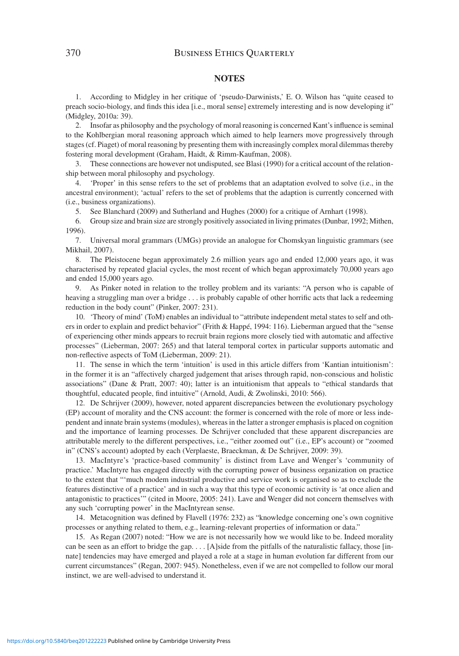#### **NOTES**

1. According to Midgley in her critique of 'pseudo-Darwinists,' E. O. Wilson has "quite ceased to preach socio-biology, and finds this idea [i.e., moral sense] extremely interesting and is now developing it" (Midgley, 2010a: 39).

2. Insofar as philosophy and the psychology of moral reasoning is concerned Kant's influence is seminal to the Kohlbergian moral reasoning approach which aimed to help learners move progressively through stages (cf. Piaget) of moral reasoning by presenting them with increasingly complex moral dilemmas thereby fostering moral development (Graham, Haidt, & Rimm-Kaufman, 2008).

3. These connections are however not undisputed, see Blasi (1990) for a critical account of the relationship between moral philosophy and psychology.

4. 'Proper' in this sense refers to the set of problems that an adaptation evolved to solve (i.e., in the ancestral environment); 'actual' refers to the set of problems that the adaption is currently concerned with (i.e., business organizations).

5. See Blanchard (2009) and Sutherland and Hughes (2000) for a critique of Arnhart (1998).

6. Group size and brain size are strongly positively associated in living primates (Dunbar, 1992; Mithen, 1996).

7. Universal moral grammars (UMGs) provide an analogue for Chomskyan linguistic grammars (see Mikhail, 2007).

8. The Pleistocene began approximately 2.6 million years ago and ended 12,000 years ago, it was characterised by repeated glacial cycles, the most recent of which began approximately 70,000 years ago and ended 15,000 years ago.

9. As Pinker noted in relation to the trolley problem and its variants: "A person who is capable of heaving a struggling man over a bridge . . . is probably capable of other horrific acts that lack a redeeming reduction in the body count" (Pinker, 2007: 231).

10. 'Theory of mind' (ToM) enables an individual to "attribute independent metal states to self and others in order to explain and predict behavior" (Frith & Happé, 1994: 116). Lieberman argued that the "sense of experiencing other minds appears to recruit brain regions more closely tied with automatic and affective processes" (Lieberman, 2007: 265) and that lateral temporal cortex in particular supports automatic and non-reflective aspects of ToM (Lieberman, 2009: 21).

11. The sense in which the term 'intuition' is used in this article differs from 'Kantian intuitionism': in the former it is an "affectively charged judgement that arises through rapid, non-conscious and holistic associations" (Dane & Pratt, 2007: 40); latter is an intuitionism that appeals to "ethical standards that thoughtful, educated people, find intuitive" (Arnold, Audi, & Zwolinski, 2010: 566).

12. De Schrijver (2009), however, noted apparent discrepancies between the evolutionary psychology (EP) account of morality and the CNS account: the former is concerned with the role of more or less independent and innate brain systems (modules), whereas in the latter a stronger emphasis is placed on cognition and the importance of learning processes. De Schrijver concluded that these apparent discrepancies are attributable merely to the different perspectives, i.e., "either zoomed out" (i.e., EP's account) or "zoomed in" (CNS's account) adopted by each (Verplaeste, Braeckman, & De Schrijver, 2009: 39).

13. MacIntyre's 'practice-based community' is distinct from Lave and Wenger's 'community of practice.' MacIntyre has engaged directly with the corrupting power of business organization on practice to the extent that "'much modem industrial productive and service work is organised so as to exclude the features distinctive of a practice' and in such a way that this type of economic activity is 'at once alien and antagonistic to practices'" (cited in Moore, 2005: 241). Lave and Wenger did not concern themselves with any such 'corrupting power' in the MacIntyrean sense.

14. Metacognition was defined by Flavell (1976: 232) as "knowledge concerning one's own cognitive processes or anything related to them, e.g., learning-relevant properties of information or data."

15. As Regan (2007) noted: "How we are is not necessarily how we would like to be. Indeed morality can be seen as an effort to bridge the gap. . . . [A]side from the pitfalls of the naturalistic fallacy, those [innate] tendencies may have emerged and played a role at a stage in human evolution far different from our current circumstances" (Regan, 2007: 945). Nonetheless, even if we are not compelled to follow our moral instinct, we are well-advised to understand it.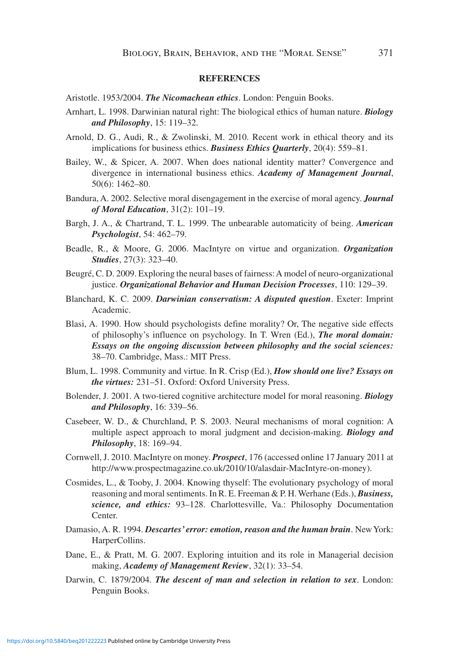#### **REFERENCES**

- Aristotle. 1953/2004. *The Nicomachean ethics*. London: Penguin Books.
- Arnhart, L. 1998. Darwinian natural right: The biological ethics of human nature. *Biology and Philosophy*, 15: 119–32.
- Arnold, D. G., Audi, R., & Zwolinski, M. 2010. Recent work in ethical theory and its implications for business ethics. *Business Ethics Quarterly*, 20(4): 559–81.
- Bailey, W., & Spicer, A. 2007. When does national identity matter? Convergence and divergence in international business ethics. *Academy of Management Journal*, 50(6): 1462–80.
- Bandura, A. 2002. Selective moral disengagement in the exercise of moral agency. *Journal of Moral Education*, 31(2): 101–19.
- Bargh, J. A., & Chartrand, T. L. 1999. The unbearable automaticity of being. *American Psychologist*, 54: 462–79.
- Beadle, R., & Moore, G. 2006. MacIntyre on virtue and organization. *Organization Studies*, 27(3): 323–40.
- Beugré, C. D. 2009. Exploring the neural bases of fairness: A model of neuro-organizational justice. *Organizational Behavior and Human Decision Processes*, 110: 129–39.
- Blanchard, K. C. 2009. *Darwinian conservatism: A disputed question*. Exeter: Imprint Academic.
- Blasi, A. 1990. How should psychologists define morality? Or, The negative side effects of philosophy's influence on psychology. In T. Wren (Ed.), *The moral domain: Essays on the ongoing discussion between philosophy and the social sciences:* 38–70. Cambridge, Mass.: MIT Press.
- Blum, L. 1998. Community and virtue. In R. Crisp (Ed.), *How should one live? Essays on the virtues:* 231–51. Oxford: Oxford University Press.
- Bolender, J. 2001. A two-tiered cognitive architecture model for moral reasoning. *Biology and Philosophy*, 16: 339–56.
- Casebeer, W. D., & Churchland, P. S. 2003. Neural mechanisms of moral cognition: A multiple aspect approach to moral judgment and decision-making. *Biology and Philosophy*, 18: 169–94.
- Cornwell, J. 2010. MacIntyre on money. *Prospect*, 176 (accessed online 17 January 2011 at http://www.prospectmagazine.co.uk/2010/10/alasdair-MacIntyre-on-money).
- Cosmides, L., & Tooby, J. 2004. Knowing thyself: The evolutionary psychology of moral reasoning and moral sentiments. In R. E. Freeman & P. H. Werhane (Eds.), *Business, science, and ethics:* 93–128. Charlottesville, Va.: Philosophy Documentation Center.
- Damasio, A. R. 1994. *Descartes' error: emotion, reason and the human brain*. New York: HarperCollins.
- Dane, E., & Pratt, M. G. 2007. Exploring intuition and its role in Managerial decision making, *Academy of Management Review*, 32(1): 33–54.
- Darwin, C. 1879/2004. *The descent of man and selection in relation to sex*. London: Penguin Books.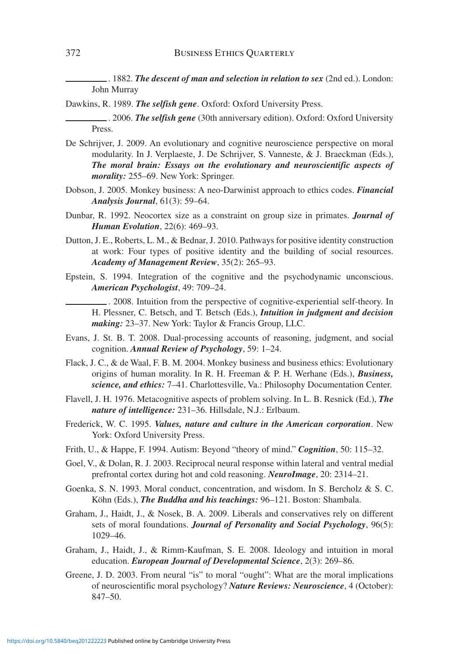. 1882. *The descent of man and selection in relation to sex* (2nd ed.). London: John Murray

Dawkins, R. 1989. *The selfish gene*. Oxford: Oxford University Press.

. 2006. *The selfish gene* (30th anniversary edition). Oxford: Oxford University Press.

- De Schrijver, J. 2009. An evolutionary and cognitive neuroscience perspective on moral modularity. In J. Verplaeste, J. De Schrijver, S. Vanneste, & J. Braeckman (Eds.), *The moral brain: Essays on the evolutionary and neuroscientific aspects of morality:* 255–69. New York: Springer.
- Dobson, J. 2005. Monkey business: A neo-Darwinist approach to ethics codes. *Financial Analysis Journal*, 61(3): 59–64.
- Dunbar, R. 1992. Neocortex size as a constraint on group size in primates. *Journal of Human Evolution*, 22(6): 469–93.
- Dutton, J. E., Roberts, L. M., & Bednar, J. 2010. Pathways for positive identity construction at work: Four types of positive identity and the building of social resources. *Academy of Management Review*, 35(2): 265–93.
- Epstein, S. 1994. Integration of the cognitive and the psychodynamic unconscious. *American Psychologist*, 49: 709–24.

. 2008. Intuition from the perspective of cognitive-experiential self-theory. In H. Plessner, C. Betsch, and T. Betsch (Eds.), *Intuition in judgment and decision making:* 23–37. New York: Taylor & Francis Group, LLC.

- Evans, J. St. B. T. 2008. Dual-processing accounts of reasoning, judgment, and social cognition. *Annual Review of Psychology*, 59: 1–24.
- Flack, J. C., & de Waal, F. B. M. 2004. Monkey business and business ethics: Evolutionary origins of human morality. In R. H. Freeman & P. H. Werhane (Eds.), *Business, science, and ethics:* 7–41. Charlottesville, Va.: Philosophy Documentation Center.
- Flavell, J. H. 1976. Metacognitive aspects of problem solving. In L. B. Resnick (Ed.), *The nature of intelligence:* 231–36. Hillsdale, N.J.: Erlbaum.
- Frederick, W. C. 1995. *Values, nature and culture in the American corporation*. New York: Oxford University Press.
- Frith, U., & Happe, F. 1994. Autism: Beyond "theory of mind." *Cognition*, 50: 115–32.
- Goel, V., & Dolan, R. J. 2003. Reciprocal neural response within lateral and ventral medial prefrontal cortex during hot and cold reasoning. *NeuroImage*, 20: 2314–21.
- Goenka, S. N. 1993. Moral conduct, concentration, and wisdom. In S. Bercholz & S. C. Köhn (Eds.), *The Buddha and his teachings:* 96–121. Boston: Shambala.
- Graham, J., Haidt, J., & Nosek, B. A. 2009. Liberals and conservatives rely on different sets of moral foundations. *Journal of Personality and Social Psychology*, 96(5): 1029–46.
- Graham, J., Haidt, J., & Rimm-Kaufman, S. E. 2008. Ideology and intuition in moral education. *European Journal of Developmental Science*, 2(3): 269–86.
- Greene, J. D. 2003. From neural "is" to moral "ought": What are the moral implications of neuroscientific moral psychology? *Nature Reviews: Neuroscience*, 4 (October): 847–50.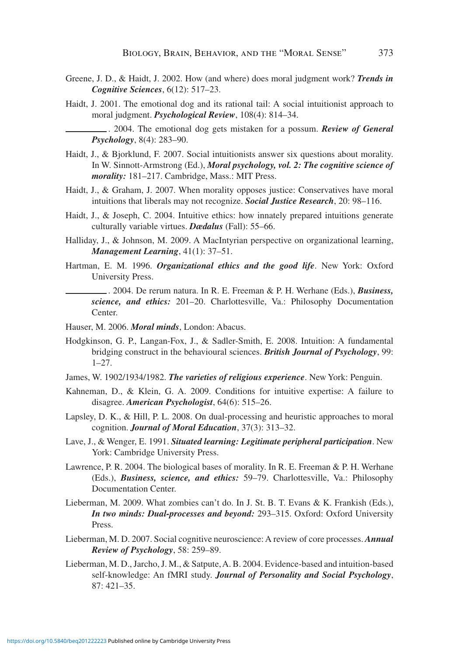- Greene, J. D., & Haidt, J. 2002. How (and where) does moral judgment work? *Trends in Cognitive Sciences*, 6(12): 517–23.
- Haidt, J. 2001. The emotional dog and its rational tail: A social intuitionist approach to moral judgment. *Psychological Review*, 108(4): 814–34.

. 2004. The emotional dog gets mistaken for a possum. *Review of General Psychology*, 8(4): 283–90.

- Haidt, J., & Bjorklund, F. 2007. Social intuitionists answer six questions about morality. In W. Sinnott-Armstrong (Ed.), *Moral psychology, vol. 2: The cognitive science of morality:* 181–217. Cambridge, Mass.: MIT Press.
- Haidt, J., & Graham, J. 2007. When morality opposes justice: Conservatives have moral intuitions that liberals may not recognize. *Social Justice Research*, 20: 98–116.
- Haidt, J., & Joseph, C. 2004. Intuitive ethics: how innately prepared intuitions generate culturally variable virtues. *Dædalus* (Fall): 55–66.
- Halliday, J., & Johnson, M. 2009. A MacIntyrian perspective on organizational learning, *Management Learning*, 41(1): 37–51.
- Hartman, E. M. 1996. *Organizational ethics and the good life*. New York: Oxford University Press.

. 2004. De rerum natura. In R. E. Freeman & P. H. Werhane (Eds.), *Business, science, and ethics:* 201–20. Charlottesville, Va.: Philosophy Documentation Center.

- Hauser, M. 2006. *Moral minds*, London: Abacus.
- Hodgkinson, G. P., Langan-Fox, J., & Sadler-Smith, E. 2008. Intuition: A fundamental bridging construct in the behavioural sciences. *British Journal of Psychology*, 99: 1–27.
- James, W. 1902/1934/1982. *The varieties of religious experience*. New York: Penguin.
- Kahneman, D., & Klein, G. A. 2009. Conditions for intuitive expertise: A failure to disagree. *American Psychologist*, 64(6): 515–26.
- Lapsley, D. K., & Hill, P. L. 2008. On dual-processing and heuristic approaches to moral cognition. *Journal of Moral Education*, 37(3): 313–32.
- Lave, J., & Wenger, E. 1991. *Situated learning: Legitimate peripheral participation*. New York: Cambridge University Press.
- Lawrence, P. R. 2004. The biological bases of morality. In R. E. Freeman & P. H. Werhane (Eds.), *Business, science, and ethics:* 59–79. Charlottesville, Va.: Philosophy Documentation Center.
- Lieberman, M. 2009. What zombies can't do. In J. St. B. T. Evans & K. Frankish (Eds.), *In two minds: Dual-processes and beyond:* 293–315. Oxford: Oxford University Press.
- Lieberman, M. D. 2007. Social cognitive neuroscience: A review of core processes. *Annual Review of Psychology*, 58: 259–89.
- Lieberman, M. D., Jarcho, J. M., & Satpute, A. B. 2004. Evidence-based and intuition-based self-knowledge: An fMRI study. *Journal of Personality and Social Psychology*, 87: 421–35.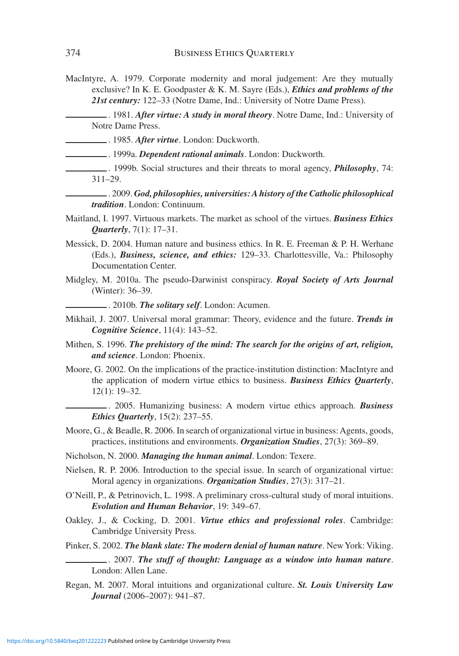MacIntyre, A. 1979. Corporate modernity and moral judgement: Are they mutually exclusive? In K. E. Goodpaster & K. M. Sayre (Eds.), *Ethics and problems of the 21st century:* 122–33 (Notre Dame, Ind.: University of Notre Dame Press).

. 1981. *After virtue: A study in moral theory*. Notre Dame, Ind.: University of Notre Dame Press.

- . 1985. *After virtue*. London: Duckworth.
	- . 1999a. *Dependent rational animals*. London: Duckworth.
- . 1999b. Social structures and their threats to moral agency, *Philosophy*, 74: 311–29.
	- . 2009. *God, philosophies, universities: A history of the Catholic philosophical tradition*. London: Continuum.
- Maitland, I. 1997. Virtuous markets. The market as school of the virtues. *Business Ethics Quarterly*, 7(1): 17–31.
- Messick, D. 2004. Human nature and business ethics. In R. E. Freeman & P. H. Werhane (Eds.), *Business, science, and ethics:* 129–33. Charlottesville, Va.: Philosophy Documentation Center.
- Midgley, M. 2010a. The pseudo-Darwinist conspiracy. *Royal Society of Arts Journal* (Winter): 36–39.
	- . 2010b. *The solitary self*. London: Acumen.
- Mikhail, J. 2007. Universal moral grammar: Theory, evidence and the future. *Trends in Cognitive Science*, 11(4): 143–52.
- Mithen, S. 1996. *The prehistory of the mind: The search for the origins of art, religion, and science*. London: Phoenix.
- Moore, G. 2002. On the implications of the practice-institution distinction: MacIntyre and the application of modern virtue ethics to business. *Business Ethics Quarterly*, 12(1): 19–32.
	- . 2005. Humanizing business: A modern virtue ethics approach. *Business Ethics Quarterly*, 15(2): 237–55.
- Moore, G., & Beadle, R. 2006. In search of organizational virtue in business: Agents, goods, practices, institutions and environments. *Organization Studies*, 27(3): 369–89.
- Nicholson, N. 2000. *Managing the human animal*. London: Texere.
- Nielsen, R. P. 2006. Introduction to the special issue. In search of organizational virtue: Moral agency in organizations. *Organization Studies*, 27(3): 317–21.
- O'Neill, P., & Petrinovich, L. 1998. A preliminary cross-cultural study of moral intuitions. *Evolution and Human Behavior*, 19: 349–67.
- Oakley, J., & Cocking, D. 2001. *Virtue ethics and professional roles*. Cambridge: Cambridge University Press.
- Pinker, S. 2002. *The blank slate: The modern denial of human nature*. New York: Viking.

. 2007. *The stuff of thought: Language as a window into human nature*. London: Allen Lane.

Regan, M. 2007. Moral intuitions and organizational culture. *St. Louis University Law Journal* (2006–2007): 941–87.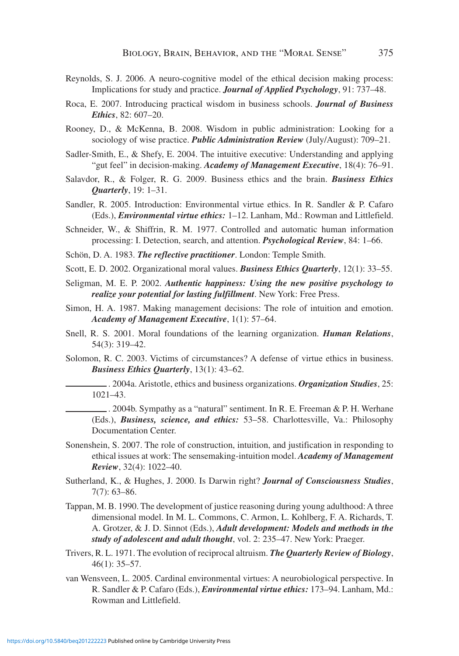- Reynolds, S. J. 2006. A neuro-cognitive model of the ethical decision making process: Implications for study and practice. *Journal of Applied Psychology*, 91: 737–48.
- Roca, E. 2007. Introducing practical wisdom in business schools. *Journal of Business Ethics*, 82: 607–20.
- Rooney, D., & McKenna, B. 2008. Wisdom in public administration: Looking for a sociology of wise practice. *Public Administration Review* (July/August): 709–21.
- Sadler-Smith, E., & Shefy, E. 2004. The intuitive executive: Understanding and applying "gut feel" in decision-making. *Academy of Management Executive*, 18(4): 76–91.
- Salavdor, R., & Folger, R. G. 2009. Business ethics and the brain. *Business Ethics Quarterly*, 19: 1–31.
- Sandler, R. 2005. Introduction: Environmental virtue ethics. In R. Sandler & P. Cafaro (Eds.), *Environmental virtue ethics:* 1–12. Lanham, Md.: Rowman and Littlefield.
- Schneider, W., & Shiffrin, R. M. 1977. Controlled and automatic human information processing: I. Detection, search, and attention. *Psychological Review*, 84: 1–66.
- Schön, D. A. 1983. *The reflective practitioner*. London: Temple Smith.
- Scott, E. D. 2002. Organizational moral values. *Business Ethics Quarterly*, 12(1): 33–55.
- Seligman, M. E. P. 2002. *Authentic happiness: Using the new positive psychology to realize your potential for lasting fulfillment*. New York: Free Press.
- Simon, H. A. 1987. Making management decisions: The role of intuition and emotion. *Academy of Management Executive*, 1(1): 57–64.
- Snell, R. S. 2001. Moral foundations of the learning organization. *Human Relations*, 54(3): 319–42.
- Solomon, R. C. 2003. Victims of circumstances? A defense of virtue ethics in business. *Business Ethics Quarterly*, 13(1): 43–62.
	- . 2004a. Aristotle, ethics and business organizations. *Organization Studies*, 25: 1021–43.
	- . 2004b. Sympathy as a "natural" sentiment. In R. E. Freeman & P. H. Werhane (Eds.), *Business, science, and ethics:* 53–58. Charlottesville, Va.: Philosophy Documentation Center.
- Sonenshein, S. 2007. The role of construction, intuition, and justification in responding to ethical issues at work: The sensemaking-intuition model. *Academy of Management Review*, 32(4): 1022–40.
- Sutherland, K., & Hughes, J. 2000. Is Darwin right? *Journal of Consciousness Studies*, 7(7): 63–86.
- Tappan, M. B. 1990. The development of justice reasoning during young adulthood: A three dimensional model. In M. L. Commons, C. Armon, L. Kohlberg, F. A. Richards, T. A. Grotzer, & J. D. Sinnot (Eds.), *Adult development: Models and methods in the study of adolescent and adult thought*, vol. 2: 235–47. New York: Praeger.
- Trivers, R. L. 1971. The evolution of reciprocal altruism. *The Quarterly Review of Biology*, 46(1): 35–57.
- van Wensveen, L. 2005. Cardinal environmental virtues: A neurobiological perspective. In R. Sandler & P. Cafaro (Eds.), *Environmental virtue ethics:* 173–94. Lanham, Md.: Rowman and Littlefield.